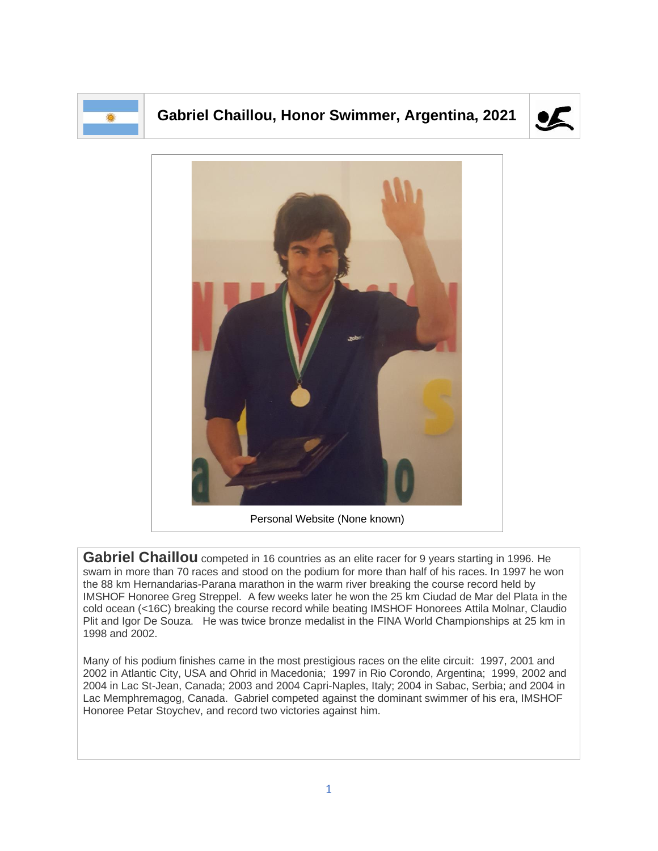

## **Gabriel Chaillou, Honor Swimmer, Argentina, 2021**





Personal Website (None known)

Gabriel Chaillou competed in 16 countries as an elite racer for 9 years starting in 1996. He swam in more than 70 races and stood on the podium for more than half of his races. In 1997 he won the 88 km Hernandarias-Parana marathon in the warm river breaking the course record held by IMSHOF Honoree Greg Streppel. A few weeks later he won the 25 km Ciudad de Mar del Plata in the cold ocean (<16C) breaking the course record while beating IMSHOF Honorees Attila Molnar, Claudio Plit and Igor De Souza. He was twice bronze medalist in the FINA World Championships at 25 km in 1998 and 2002.

Many of his podium finishes came in the most prestigious races on the elite circuit: 1997, 2001 and 2002 in Atlantic City, USA and Ohrid in Macedonia; 1997 in Rio Corondo, Argentina; 1999, 2002 and 2004 in Lac St-Jean, Canada; 2003 and 2004 Capri-Naples, Italy; 2004 in Sabac, Serbia; and 2004 in Lac Memphremagog, Canada. Gabriel competed against the dominant swimmer of his era, IMSHOF Honoree Petar Stoychev, and record two victories against him.